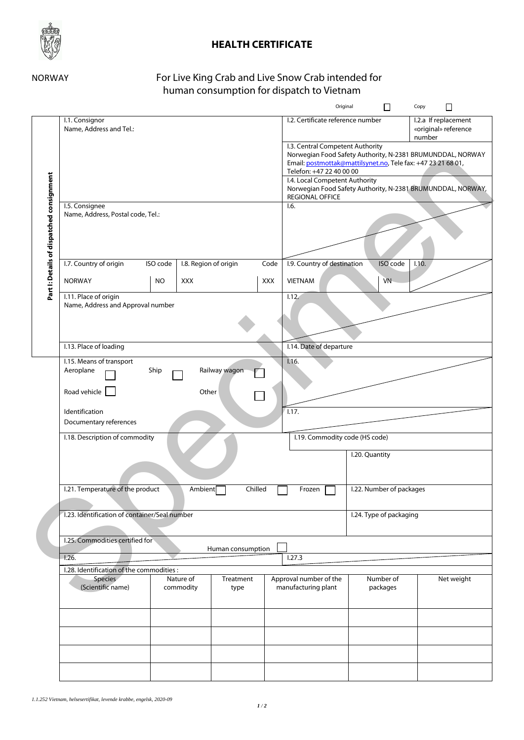

## **HEALTH CERTIFICATE**

## NORWAY For Live King Crab and Live Snow Crab intended for human consumption for dispatch to Vietnam

|                                           |                                                            |                    |                                                                                                                                                        |                                  | Original                          | $\Box$    | Copy<br>$\Box$                 |  |
|-------------------------------------------|------------------------------------------------------------|--------------------|--------------------------------------------------------------------------------------------------------------------------------------------------------|----------------------------------|-----------------------------------|-----------|--------------------------------|--|
|                                           | I.1. Consignor                                             |                    |                                                                                                                                                        |                                  | I.2. Certificate reference number |           | I.2.a If replacement           |  |
|                                           | Name, Address and Tel.:                                    |                    |                                                                                                                                                        |                                  |                                   |           | «original» reference<br>number |  |
|                                           |                                                            |                    |                                                                                                                                                        | I.3. Central Competent Authority |                                   |           |                                |  |
|                                           |                                                            |                    | Norwegian Food Safety Authority, N-2381 BRUMUNDDAL, NORWAY<br>Email: postmottak@mattilsynet.no, Tele fax: +47 23 21 68 01,<br>Telefon: +47 22 40 00 00 |                                  |                                   |           |                                |  |
|                                           |                                                            |                    |                                                                                                                                                        |                                  |                                   |           |                                |  |
|                                           |                                                            |                    |                                                                                                                                                        | I.4. Local Competent Authority   |                                   |           |                                |  |
| Part I: Details of dispatched consignment |                                                            |                    | Norwegian Food Safety Authority, N-2381 BRUMUNDDAL, NORWAY,<br><b>REGIONAL OFFICE</b>                                                                  |                                  |                                   |           |                                |  |
|                                           | I.5. Consignee                                             |                    | 1.6.                                                                                                                                                   |                                  |                                   |           |                                |  |
|                                           | Name, Address, Postal code, Tel.:                          |                    |                                                                                                                                                        |                                  |                                   |           |                                |  |
|                                           |                                                            |                    |                                                                                                                                                        |                                  |                                   |           |                                |  |
|                                           |                                                            |                    |                                                                                                                                                        |                                  |                                   |           |                                |  |
|                                           |                                                            |                    |                                                                                                                                                        |                                  |                                   |           |                                |  |
|                                           | I.7. Country of origin                                     | ISO code           | I.8. Region of origin                                                                                                                                  | Code                             | I.9. Country of destination       | ISO code  | 1.10.                          |  |
|                                           | <b>NORWAY</b>                                              | <b>NO</b>          | XXX                                                                                                                                                    | XXX                              | <b>VIETNAM</b>                    | <b>VN</b> |                                |  |
|                                           |                                                            |                    |                                                                                                                                                        |                                  |                                   |           |                                |  |
|                                           | I.11. Place of origin<br>Name, Address and Approval number |                    |                                                                                                                                                        |                                  | 1.12.                             |           |                                |  |
|                                           |                                                            |                    |                                                                                                                                                        |                                  |                                   |           |                                |  |
|                                           |                                                            |                    |                                                                                                                                                        |                                  |                                   |           |                                |  |
|                                           |                                                            |                    |                                                                                                                                                        |                                  |                                   |           |                                |  |
|                                           | I.13. Place of loading                                     |                    | I.14. Date of departure                                                                                                                                |                                  |                                   |           |                                |  |
|                                           | I.15. Means of transport                                   |                    | Railway wagon                                                                                                                                          | 1.16.                            |                                   |           |                                |  |
|                                           | Aeroplane                                                  | Ship               |                                                                                                                                                        |                                  |                                   |           |                                |  |
|                                           |                                                            |                    |                                                                                                                                                        |                                  |                                   |           |                                |  |
|                                           | Road vehicle                                               | Other              |                                                                                                                                                        |                                  |                                   |           |                                |  |
|                                           | Identification                                             |                    | 1.17.                                                                                                                                                  |                                  |                                   |           |                                |  |
|                                           | Documentary references                                     |                    |                                                                                                                                                        |                                  |                                   |           |                                |  |
|                                           | I.18. Description of commodity                             |                    | I.19. Commodity code (HS code)                                                                                                                         |                                  |                                   |           |                                |  |
|                                           |                                                            |                    |                                                                                                                                                        |                                  |                                   |           |                                |  |
|                                           |                                                            |                    |                                                                                                                                                        | I.20. Quantity                   |                                   |           |                                |  |
|                                           |                                                            |                    |                                                                                                                                                        |                                  |                                   |           |                                |  |
|                                           | I.21. Temperature of the product                           | Ambient<br>Chilled | Frozen                                                                                                                                                 | I.22. Number of packages         |                                   |           |                                |  |
|                                           |                                                            |                    |                                                                                                                                                        |                                  |                                   |           |                                |  |
|                                           | 1.23. Identification of container/Seal number              |                    |                                                                                                                                                        |                                  |                                   |           |                                |  |
|                                           |                                                            |                    |                                                                                                                                                        | I.24. Type of packaging          |                                   |           |                                |  |
|                                           |                                                            |                    |                                                                                                                                                        |                                  |                                   |           |                                |  |
|                                           | I.25. Commodities certified for<br>Human consumption       |                    |                                                                                                                                                        |                                  |                                   |           |                                |  |
|                                           | 1.26.                                                      |                    |                                                                                                                                                        | 1.27.3                           |                                   |           |                                |  |
|                                           | I.28. Identification of the commodities :                  |                    |                                                                                                                                                        |                                  |                                   |           |                                |  |
|                                           | Species                                                    |                    | Nature of<br>Treatment                                                                                                                                 |                                  | Approval number of the            | Number of | Net weight                     |  |
|                                           | (Scientific name)                                          |                    | commodity<br>type                                                                                                                                      |                                  | manufacturing plant               | packages  |                                |  |
|                                           |                                                            |                    |                                                                                                                                                        |                                  |                                   |           |                                |  |
|                                           |                                                            |                    |                                                                                                                                                        |                                  |                                   |           |                                |  |
|                                           |                                                            |                    |                                                                                                                                                        |                                  |                                   |           |                                |  |
|                                           |                                                            |                    |                                                                                                                                                        |                                  |                                   |           |                                |  |
|                                           |                                                            |                    |                                                                                                                                                        |                                  |                                   |           |                                |  |
|                                           |                                                            |                    |                                                                                                                                                        |                                  |                                   |           |                                |  |
|                                           |                                                            |                    |                                                                                                                                                        |                                  |                                   |           |                                |  |